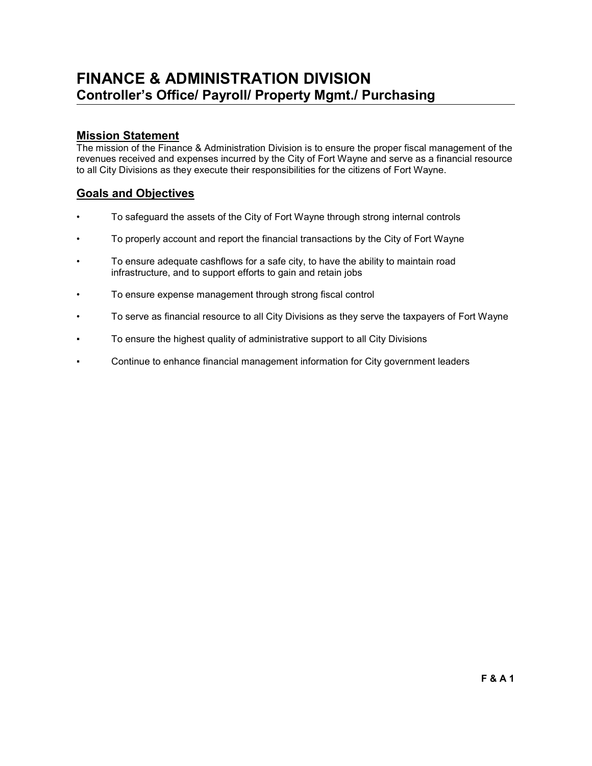# FINANCE & ADMINISTRATION DIVISION Controller's Office/ Payroll/ Property Mgmt./ Purchasing

## Mission Statement

The mission of the Finance & Administration Division is to ensure the proper fiscal management of the revenues received and expenses incurred by the City of Fort Wayne and serve as a financial resource to all City Divisions as they execute their responsibilities for the citizens of Fort Wayne.

## Goals and Objectives

- To safeguard the assets of the City of Fort Wayne through strong internal controls
- To properly account and report the financial transactions by the City of Fort Wayne
- To ensure adequate cashflows for a safe city, to have the ability to maintain road infrastructure, and to support efforts to gain and retain jobs
- To ensure expense management through strong fiscal control
- To serve as financial resource to all City Divisions as they serve the taxpayers of Fort Wayne
- To ensure the highest quality of administrative support to all City Divisions
- Continue to enhance financial management information for City government leaders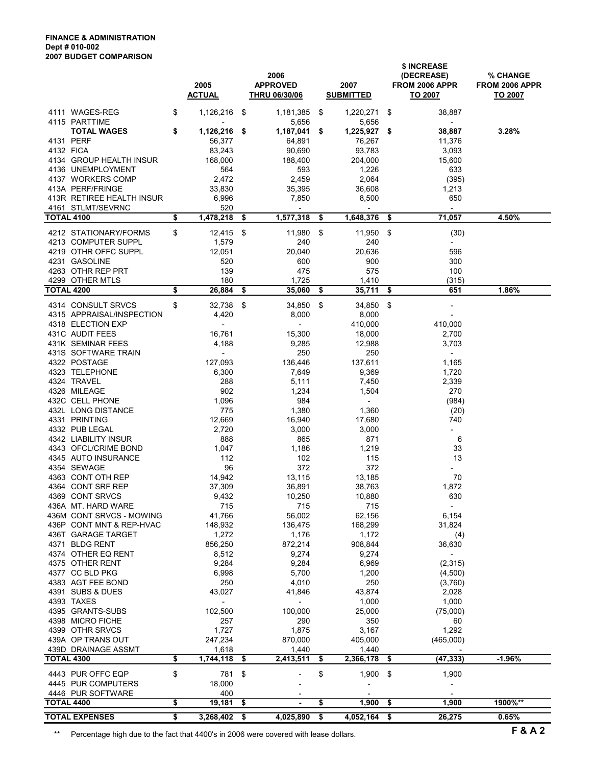#### FINANCE & ADMINISTRATION Dept # 010-002 2007 BUDGET COMPARISON

|                                        | 2005<br><b>ACTUAL</b>    | 2006<br><b>APPROVED</b><br><b>THRU 06/30/06</b> | 2007<br><b>SUBMITTED</b> |      | \$ INCREASE<br>(DECREASE)<br>FROM 2006 APPR<br>TO 2007 | % CHANGE<br>FROM 2006 APPR<br>TO 2007 |
|----------------------------------------|--------------------------|-------------------------------------------------|--------------------------|------|--------------------------------------------------------|---------------------------------------|
| 4111 WAGES-REG                         | \$<br>1,126,216          | \$<br>1,181,385                                 | \$<br>1,220,271          | \$   | 38,887                                                 |                                       |
| 4115 PARTTIME<br><b>TOTAL WAGES</b>    | \$<br>1,126,216          | \$<br>5,656<br>1,187,041                        | \$<br>5,656<br>1,225,927 | -\$  | $\overline{\phantom{a}}$<br>38,887                     | 3.28%                                 |
| 4131 PERF                              | 56,377                   | 64,891                                          | 76,267                   |      | 11,376                                                 |                                       |
| 4132 FICA                              | 83,243                   | 90,690                                          | 93,783                   |      | 3,093                                                  |                                       |
| 4134 GROUP HEALTH INSUR                | 168,000                  | 188,400                                         | 204,000                  |      | 15,600                                                 |                                       |
| 4136 UNEMPLOYMENT<br>4137 WORKERS COMP | 564<br>2,472             | 593<br>2,459                                    | 1,226<br>2,064           |      | 633                                                    |                                       |
| 413A PERF/FRINGE                       | 33,830                   | 35,395                                          | 36,608                   |      | (395)<br>1,213                                         |                                       |
| 413R RETIREE HEALTH INSUR              | 6,996                    | 7,850                                           | 8,500                    |      | 650                                                    |                                       |
| 4161 STLMT/SEVRNC                      | 520                      | $\overline{\phantom{a}}$                        |                          |      | $\overline{\phantom{a}}$                               |                                       |
| TOTAL 4100                             | \$<br>1,478,218          | \$<br>1,577,318                                 | \$<br>1,648,376          | \$   | 71,057                                                 | 4.50%                                 |
| 4212 STATIONARY/FORMS                  | \$<br>12,415             | \$<br>11,980                                    | \$<br>11,950             | - \$ | (30)                                                   |                                       |
| 4213 COMPUTER SUPPL                    | 1,579                    | 240                                             | 240                      |      | $\overline{\phantom{a}}$                               |                                       |
| 4219 OTHR OFFC SUPPL                   | 12,051                   | 20,040                                          | 20,636                   |      | 596                                                    |                                       |
| 4231 GASOLINE<br>4263 OTHR REP PRT     | 520<br>139               | 600<br>475                                      | 900<br>575               |      | 300<br>100                                             |                                       |
| 4299 OTHER MTLS                        | 180                      | 1,725                                           | 1,410                    |      | (315)                                                  |                                       |
| <b>TOTAL 4200</b>                      | \$<br>26,884             | \$<br>35,060                                    | \$<br>35,711             | -\$  | 651                                                    | 1.86%                                 |
| 4314 CONSULT SRVCS                     | \$<br>32,738             | \$<br>34,850                                    | \$<br>34,850             | -\$  |                                                        |                                       |
| 4315 APPRAISAL/INSPECTION              | 4,420                    | 8,000                                           | 8,000                    |      | $\overline{\phantom{a}}$                               |                                       |
| 4318 ELECTION EXP                      | $\overline{\phantom{a}}$ | $\overline{\phantom{0}}$                        | 410,000                  |      | 410,000                                                |                                       |
| 431C AUDIT FEES                        | 16,761                   | 15,300                                          | 18,000                   |      | 2,700                                                  |                                       |
| 431K SEMINAR FEES                      | 4,188                    | 9,285                                           | 12,988                   |      | 3,703                                                  |                                       |
| 431S SOFTWARE TRAIN                    | $\overline{\phantom{a}}$ | 250                                             | 250                      |      | $\overline{\phantom{a}}$                               |                                       |
| 4322 POSTAGE<br>4323 TELEPHONE         | 127,093<br>6,300         | 136,446<br>7,649                                | 137,611<br>9,369         |      | 1,165<br>1,720                                         |                                       |
| 4324 TRAVEL                            | 288                      | 5,111                                           | 7,450                    |      | 2,339                                                  |                                       |
| 4326 MILEAGE                           | 902                      | 1,234                                           | 1,504                    |      | 270                                                    |                                       |
| 432C CELL PHONE                        | 1,096                    | 984                                             | $\blacksquare$           |      | (984)                                                  |                                       |
| 432L LONG DISTANCE                     | 775                      | 1,380                                           | 1,360                    |      | (20)                                                   |                                       |
| 4331 PRINTING                          | 12,669                   | 16,940                                          | 17,680                   |      | 740                                                    |                                       |
| 4332 PUB LEGAL<br>4342 LIABILITY INSUR | 2,720<br>888             | 3,000<br>865                                    | 3,000<br>871             |      | $\overline{\phantom{a}}$<br>6                          |                                       |
| 4343 OFCL/CRIME BOND                   | 1,047                    | 1,186                                           | 1,219                    |      | 33                                                     |                                       |
| 4345 AUTO INSURANCE                    | 112                      | 102                                             | 115                      |      | 13                                                     |                                       |
| 4354 SEWAGE                            | 96                       | 372                                             | 372                      |      |                                                        |                                       |
| 4363 CONT OTH REP                      | 14,942                   | 13,115                                          | 13,185                   |      | 70                                                     |                                       |
| 4364 CONT SRF REP                      | 37,309                   | 36,891                                          | 38,763                   |      | 1,872                                                  |                                       |
| 4369 CONT SRVCS<br>436A MT. HARD WARE  | 9,432<br>715             | 10,250<br>715                                   | 10,880<br>715            |      | 630<br>$\overline{\phantom{a}}$                        |                                       |
| 436M CONT SRVCS - MOWING               | 41,766                   | 56,002                                          | 62,156                   |      | 6,154                                                  |                                       |
| 436P CONT MNT & REP-HVAC               | 148,932                  | 136,475                                         | 168,299                  |      | 31,824                                                 |                                       |
| 436T GARAGE TARGET                     | 1,272                    | 1,176                                           | 1,172                    |      | (4)                                                    |                                       |
| 4371 BLDG RENT                         | 856,250                  | 872,214                                         | 908,844                  |      | 36,630                                                 |                                       |
| 4374 OTHER EQ RENT<br>4375 OTHER RENT  | 8,512<br>9,284           | 9,274<br>9,284                                  | 9,274<br>6,969           |      | $\overline{\phantom{a}}$<br>(2, 315)                   |                                       |
| 4377 CC BLD PKG                        | 6,998                    | 5,700                                           | 1,200                    |      | (4,500)                                                |                                       |
| 4383 AGT FEE BOND                      | 250                      | 4,010                                           | 250                      |      | (3,760)                                                |                                       |
| 4391 SUBS & DUES                       | 43,027                   | 41,846                                          | 43,874                   |      | 2,028                                                  |                                       |
| 4393 TAXES                             | $\overline{\phantom{a}}$ | $\blacksquare$                                  | 1,000                    |      | 1,000                                                  |                                       |
| 4395 GRANTS-SUBS                       | 102,500                  | 100,000                                         | 25,000                   |      | (75,000)                                               |                                       |
| 4398 MICRO FICHE<br>4399 OTHR SRVCS    | 257<br>1,727             | 290<br>1,875                                    | 350<br>3,167             |      | 60<br>1,292                                            |                                       |
| 439A OP TRANS OUT                      | 247,234                  | 870,000                                         | 405,000                  |      | (465,000)                                              |                                       |
| 439D DRAINAGE ASSMT                    | 1,618                    | 1,440                                           | 1,440                    |      |                                                        |                                       |
| <b>TOTAL 4300</b>                      | \$<br>1,744,118          | \$<br>2,413,511                                 | \$<br>2,366,178          | \$   | (47, 333)                                              | $-1.96%$                              |
| 4443 PUR OFFC EQP                      | \$<br>781                | \$                                              | \$<br>1,900              | \$   | 1,900                                                  |                                       |
| 4445 PUR COMPUTERS                     | 18,000                   |                                                 |                          |      |                                                        |                                       |
| 4446 PUR SOFTWARE                      | 400                      |                                                 |                          |      |                                                        |                                       |
| TOTAL 4400                             | \$<br>19,181             | \$<br>٠                                         | \$<br>1,900              | \$   | 1,900                                                  | 1900%**                               |
| <b>TOTAL EXPENSES</b>                  | \$<br>3,268,402          | \$<br>4,025,890                                 | \$<br>4,052,164          | \$   | 26,275                                                 | 0.65%                                 |

\*\* Percentage high due to the fact that 4400's in 2006 were covered with lease dollars. F & A 2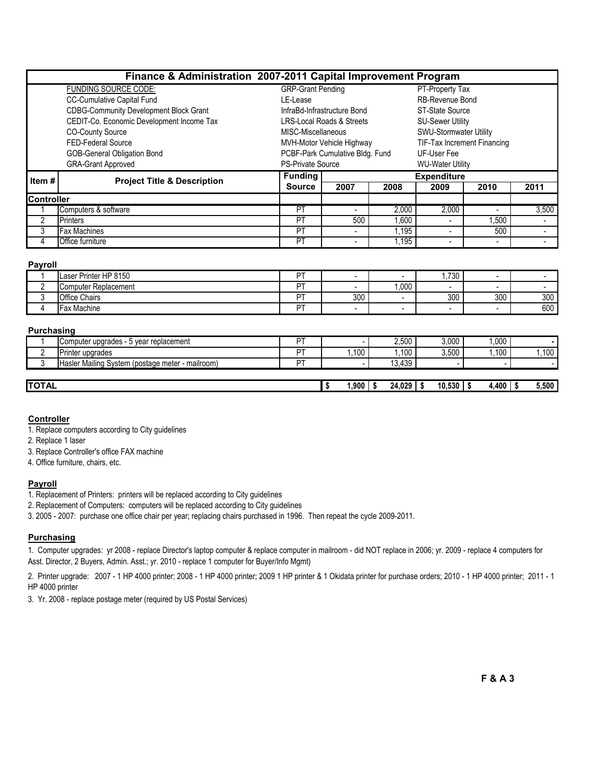## Finance & Administration 2007-2011 Capital Improvement Program

|                   | <b>FUNDING SOURCE CODE:</b>                   | <b>GRP-Grant Pending</b>    |                                      |       | PT-Property Tax             |       |       |  |  |  |
|-------------------|-----------------------------------------------|-----------------------------|--------------------------------------|-------|-----------------------------|-------|-------|--|--|--|
|                   | <b>CC-Cumulative Capital Fund</b>             | LE-Lease                    |                                      |       | RB-Revenue Bond             |       |       |  |  |  |
|                   | <b>CDBG-Community Development Block Grant</b> | InfraBd-Infrastructure Bond |                                      |       | <b>ST-State Source</b>      |       |       |  |  |  |
|                   | CEDIT-Co. Economic Development Income Tax     |                             | <b>LRS-Local Roads &amp; Streets</b> |       | <b>SU-Sewer Utility</b>     |       |       |  |  |  |
|                   | <b>CO-County Source</b>                       | MISC-Miscellaneous          |                                      |       | SWU-Stormwater Utility      |       |       |  |  |  |
|                   | FED-Federal Source                            |                             | MVH-Motor Vehicle Highway            |       | TIF-Tax Increment Financing |       |       |  |  |  |
|                   | <b>GOB-General Obligation Bond</b>            |                             | PCBF-Park Cumulative Bldg. Fund      |       | UF-User Fee                 |       |       |  |  |  |
|                   | <b>GRA-Grant Approved</b>                     | <b>PS-Private Source</b>    |                                      |       | <b>WU-Water Utility</b>     |       |       |  |  |  |
|                   |                                               |                             |                                      |       |                             |       |       |  |  |  |
|                   |                                               | <b>Funding</b>              |                                      |       | <b>Expenditure</b>          |       |       |  |  |  |
| Item #            | <b>Project Title &amp; Description</b>        | <b>Source</b>               | 2007                                 | 2008  | 2009                        | 2010  | 2011  |  |  |  |
| <b>Controller</b> |                                               |                             |                                      |       |                             |       |       |  |  |  |
|                   | Computers & software                          | PT                          |                                      | 2,000 | 2,000                       |       | 3,500 |  |  |  |
| 2                 | <b>Printers</b>                               | <b>PT</b>                   | 500                                  | 1,600 |                             | 1,500 |       |  |  |  |
| 3                 | <b>Fax Machines</b>                           | PT                          | $\overline{\phantom{0}}$             | 1.195 |                             | 500   |       |  |  |  |

#### Payroll

|    | Laser Printer HP 8150     | <b>DT</b> | -                        |      | ,730                     | -                        |     |
|----|---------------------------|-----------|--------------------------|------|--------------------------|--------------------------|-----|
| -  | -<br>Computer Replacement | <b>DT</b> | $\overline{\phantom{a}}$ | .000 | $\overline{\phantom{a}}$ | $\overline{\phantom{a}}$ |     |
|    | Office<br>Chairs          | DT        | 300                      |      | 300                      | 300                      | 300 |
| д. | <b>Fax Machine</b>        | DT        | $\overline{\phantom{a}}$ |      | $\overline{\phantom{0}}$ | $\overline{\phantom{0}}$ | 600 |

#### Purchasing

| . <i>.</i> <u>.</u> |                                                  |    |                  |        |        |       |        |
|---------------------|--------------------------------------------------|----|------------------|--------|--------|-------|--------|
|                     | Computer upgrades - 5 year replacement           | DT |                  | 2,500  | 3,000  | ,000  |        |
|                     | Printer upgrades                                 | DT | 100 <sub>1</sub> | .100   | 3,500  | .100  | .100 l |
|                     | Hasler Mailing System (postage meter - mailroom) | DT |                  | 13.439 |        |       |        |
|                     |                                                  |    |                  |        |        |       |        |
| <b>ITOTAL</b>       |                                                  |    | ,900             | 24,029 | 10,530 | 4,400 | 5,500  |

### **Controller**

1. Replace computers according to City guidelines

2. Replace 1 laser

3. Replace Controller's office FAX machine

4. Office furniture, chairs, etc.

#### Payroll

- 1. Replacement of Printers: printers will be replaced according to City guidelines
- 2. Replacement of Computers: computers will be replaced according to City guidelines
- 3. 2005 2007: purchase one office chair per year; replacing chairs purchased in 1996. Then repeat the cycle 2009-2011.

### **Purchasing**

1. Computer upgrades: yr 2008 - replace Director's laptop computer & replace computer in mailroom - did NOT replace in 2006; yr. 2009 - replace 4 computers for Asst. Director, 2 Buyers, Admin. Asst.; yr. 2010 - replace 1 computer for Buyer/Info Mgmt)

2. Printer upgrade: 2007 - 1 HP 4000 printer; 2008 - 1 HP 4000 printer; 2009 1 HP printer & 1 Okidata printer for purchase orders; 2010 - 1 HP 4000 printer; 2011 - 1 HP 4000 printer

3. Yr. 2008 - replace postage meter (required by US Postal Services)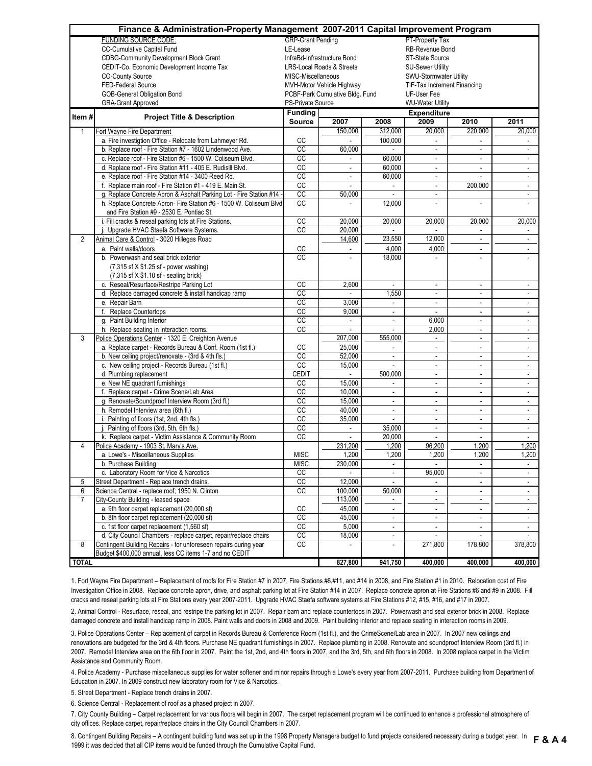|                | Finance & Administration-Property Management 2007-2011 Capital Improvement Program |                                                                 |                 |                          |                             |                          |                             |  |  |  |  |  |
|----------------|------------------------------------------------------------------------------------|-----------------------------------------------------------------|-----------------|--------------------------|-----------------------------|--------------------------|-----------------------------|--|--|--|--|--|
|                | <b>FUNDING SOURCE CODE:</b>                                                        | <b>GRP-Grant Pending</b>                                        | PT-Property Tax |                          |                             |                          |                             |  |  |  |  |  |
|                | CC-Cumulative Capital Fund                                                         | RB-Revenue Bond<br>LE-Lease                                     |                 |                          |                             |                          |                             |  |  |  |  |  |
|                | <b>CDBG-Community Development Block Grant</b>                                      | InfraBd-Infrastructure Bond<br>ST-State Source                  |                 |                          |                             |                          |                             |  |  |  |  |  |
|                | CEDIT-Co. Economic Development Income Tax                                          | <b>LRS-Local Roads &amp; Streets</b><br><b>SU-Sewer Utility</b> |                 |                          |                             |                          |                             |  |  |  |  |  |
|                | <b>CO-County Source</b>                                                            | MISC-Miscellaneous<br>SWU-Stormwater Utility                    |                 |                          |                             |                          |                             |  |  |  |  |  |
|                | FED-Federal Source                                                                 | MVH-Motor Vehicle Highway<br>TIF-Tax Increment Financing        |                 |                          |                             |                          |                             |  |  |  |  |  |
|                | <b>GOB-General Obligation Bond</b>                                                 | UF-User Fee<br>PCBF-Park Cumulative Bldg. Fund                  |                 |                          |                             |                          |                             |  |  |  |  |  |
|                | <b>GRA-Grant Approved</b>                                                          | PS-Private Source<br><b>WU-Water Utility</b>                    |                 |                          |                             |                          |                             |  |  |  |  |  |
|                |                                                                                    | <b>Funding</b>                                                  |                 |                          |                             |                          |                             |  |  |  |  |  |
| Item#          | <b>Project Title &amp; Description</b>                                             | Source                                                          | 2007            | 2008                     | <b>Expenditure</b><br>2009  | 2010                     | 2011                        |  |  |  |  |  |
| 1              | Fort Wayne Fire Department                                                         |                                                                 | 150,000         | 312,000                  | 20,000                      | 220,000                  | 20,000                      |  |  |  |  |  |
|                |                                                                                    |                                                                 |                 |                          | ÷.                          |                          |                             |  |  |  |  |  |
|                | a. Fire investigtion Office - Relocate from Lahmeyer Rd.                           | CC                                                              |                 | 100,000                  |                             |                          |                             |  |  |  |  |  |
|                | b. Replace roof - Fire Station #7 - 1602 Lindenwood Ave.                           | CC                                                              | 60,000          |                          | $\bar{a}$                   | $\blacksquare$           | ÷.                          |  |  |  |  |  |
|                | c. Replace roof - Fire Station #6 - 1500 W. Coliseum Blvd.                         | CC                                                              |                 | 60,000                   | $\blacksquare$              |                          | ÷.                          |  |  |  |  |  |
|                | d. Replace roof - Fire Station #11 - 405 E. Rudisill Blvd.                         | CC                                                              | $\blacksquare$  | 60,000                   | $\blacksquare$              | $\blacksquare$           | ٠                           |  |  |  |  |  |
|                | e. Replace roof - Fire Station #14 - 3400 Reed Rd.                                 | $\overline{cc}$                                                 |                 | 60,000                   | $\overline{\phantom{a}}$    |                          |                             |  |  |  |  |  |
|                | f. Replace main roof - Fire Station #1 - 419 E. Main St.                           | cc                                                              |                 |                          | $\blacksquare$              | 200,000                  | $\blacksquare$              |  |  |  |  |  |
|                | g. Replace Concrete Apron & Asphalt Parking Lot - Fire Station #14                 | CC                                                              | 50,000          |                          | $\overline{\phantom{a}}$    |                          | $\blacksquare$              |  |  |  |  |  |
|                | h. Replace Concrete Apron- Fire Station #6 - 1500 W. Coliseum Blvd.                | $\overline{cc}$                                                 |                 | 12,000                   | ÷,                          | ä,                       |                             |  |  |  |  |  |
|                | and Fire Station #9 - 2530 E. Pontiac St.                                          |                                                                 |                 |                          |                             |                          |                             |  |  |  |  |  |
|                | i. Fill cracks & reseal parking lots at Fire Stations.                             | cc                                                              | 20.000          | 20,000                   | 20,000                      | 20,000                   | 20,000                      |  |  |  |  |  |
|                | Upgrade HVAC Staefa Software Systems.                                              | CC                                                              | 20,000          | $\sim$                   |                             | ÷                        | ÷.                          |  |  |  |  |  |
| $\overline{2}$ | Animal Care & Control - 3020 Hillegas Road                                         |                                                                 | 14,600          | 23,550                   | 12,000                      | $\blacksquare$           | $\sim$                      |  |  |  |  |  |
|                | a. Paint walls/doors                                                               | CC                                                              |                 | 4,000                    | 4,000                       | $\overline{a}$           | $\blacksquare$              |  |  |  |  |  |
|                | b. Powerwash and seal brick exterior                                               | CC                                                              |                 | 18,000                   |                             |                          |                             |  |  |  |  |  |
|                | (7,315 sf X \$1.25 sf - power washing)                                             |                                                                 |                 |                          |                             |                          |                             |  |  |  |  |  |
|                | (7,315 sf X \$1.10 sf - sealing brick)                                             |                                                                 |                 |                          |                             |                          |                             |  |  |  |  |  |
|                | c. Reseal/Resurface/Restripe Parking Lot                                           | CC                                                              | 2,600           | $\blacksquare$           | $\blacksquare$              | ÷.                       | $\blacksquare$              |  |  |  |  |  |
|                | d. Replace damaged concrete & install handicap ramp                                | $\overline{cc}$                                                 | $\sim$          | 1,550                    | $\omega$                    | $\overline{\phantom{a}}$ | ÷.                          |  |  |  |  |  |
|                | e. Repair Barn                                                                     | $\overline{cc}$                                                 | 3,000           | $\omega$                 | $\omega$                    | ÷.                       | $\blacksquare$              |  |  |  |  |  |
|                | f. Replace Countertops                                                             | CC                                                              | 9,000           | $\bar{a}$                | $\omega$                    | $\overline{\phantom{a}}$ |                             |  |  |  |  |  |
|                |                                                                                    | CC                                                              |                 |                          | 6,000                       |                          | $\blacksquare$              |  |  |  |  |  |
|                | g. Paint Building Interior                                                         | cc                                                              | ÷.              | $\bar{a}$                |                             | $\blacksquare$           | $\omega$                    |  |  |  |  |  |
|                | h. Replace seating in interaction rooms.                                           |                                                                 | 207,000         | 555,000                  | 2,000                       | $\overline{\phantom{a}}$ | $\omega$                    |  |  |  |  |  |
| 3              | Police Operations Center - 1320 E. Creighton Avenue                                |                                                                 |                 |                          | $\blacksquare$              | $\blacksquare$           | $\blacksquare$              |  |  |  |  |  |
|                | a. Replace carpet - Records Bureau & Conf. Room (1st fl.)                          | CC                                                              | 25,000          |                          | $\overline{\phantom{a}}$    | $\overline{\phantom{a}}$ | $\blacksquare$              |  |  |  |  |  |
|                | b. New ceiling project/renovate - (3rd & 4th fls.)                                 | CC                                                              | 52,000          |                          | $\overline{\phantom{a}}$    | $\overline{a}$           | ٠                           |  |  |  |  |  |
|                | c. New ceiling project - Records Bureau (1st fl.)                                  | CC                                                              | 15,000          |                          | $\blacksquare$              | $\overline{a}$           | $\blacksquare$              |  |  |  |  |  |
|                | d. Plumbing replacement                                                            | CEDIT                                                           |                 | 500,000                  | $\blacksquare$              | ä,                       | $\overline{\phantom{a}}$    |  |  |  |  |  |
|                | e. New NE quadrant furnishings                                                     | CC                                                              | 15,000          | $\blacksquare$           | $\blacksquare$              | $\overline{\phantom{a}}$ | $\sim$                      |  |  |  |  |  |
|                | f. Replace carpet - Crime Scene/Lab Area                                           | CC                                                              | 10,000          | $\overline{\phantom{a}}$ | $\blacksquare$              | $\overline{\phantom{a}}$ | $\blacksquare$              |  |  |  |  |  |
|                | g. Renovate/Soundproof Interview Room (3rd fl.)                                    | CC                                                              | 15,000          | $\omega$                 | $\mathcal{L}_{\mathcal{A}}$ | $\Box$                   | ÷.                          |  |  |  |  |  |
|                | h. Remodel Interview area (6th fl.)                                                | CC                                                              | 40,000          | $\bar{a}$                | $\blacksquare$              | $\overline{\phantom{a}}$ | $\blacksquare$              |  |  |  |  |  |
|                | i. Painting of floors (1st, 2nd, 4th fls.)                                         | cc                                                              | 35,000          | $\omega$                 | $\omega$                    | $\blacksquare$           | $\blacksquare$              |  |  |  |  |  |
|                | Painting of floors (3rd, 5th, 6th fls.)                                            | $_{\rm CC}$                                                     |                 | 35,000                   | $\blacksquare$              | $\blacksquare$           | $\blacksquare$              |  |  |  |  |  |
|                | k. Replace carpet - Victim Assistance & Community Room                             | $\overline{cc}$                                                 |                 | 20,000                   | $\mathbf{r}$                | ä,                       | $\mathbf{r}$                |  |  |  |  |  |
| $\overline{4}$ | Police Academy - 1903 St. Mary's Ave.                                              |                                                                 | 231,200         | 1,200                    | 96,200                      | 1,200                    | 1,200                       |  |  |  |  |  |
|                | a. Lowe's - Miscellaneous Supplies                                                 | <b>MISC</b>                                                     | 1,200           | 1,200                    | 1,200                       | 1,200                    | 1,200                       |  |  |  |  |  |
|                | b. Purchase Building                                                               | <b>MISC</b>                                                     | 230,000         | $\overline{\phantom{a}}$ |                             | $\overline{\phantom{a}}$ | ٠                           |  |  |  |  |  |
|                | c. Laboratory Room for Vice & Narcotics                                            | CC                                                              |                 |                          | 95,000                      |                          | $\overline{\phantom{a}}$    |  |  |  |  |  |
| 5              | Street Department - Replace trench drains.                                         | cc                                                              | 12,000          | $\sim$                   |                             | ÷.                       | $\mathcal{L}_{\mathcal{A}}$ |  |  |  |  |  |
| 6              | Science Central - replace roof; 1950 N. Clinton                                    | $\overline{cc}$                                                 | 100,000         | 50,000                   | $\blacksquare$              | $\overline{\phantom{a}}$ | ÷.                          |  |  |  |  |  |
| $\overline{7}$ | City-County Building - leased space                                                |                                                                 | 113,000         | $\blacksquare$           | $\omega$                    | $\blacksquare$           | $\mathcal{L}_{\mathcal{A}}$ |  |  |  |  |  |
|                | a. 9th floor carpet replacement (20,000 sf)                                        | CC                                                              | 45,000          | $\bar{a}$                | $\omega$                    | ä,                       |                             |  |  |  |  |  |
|                | b. 8th floor carpet replacement (20,000 sf)                                        | $\overline{CC}$                                                 | 45,000          | $\omega$                 | $\omega$                    |                          | $\blacksquare$              |  |  |  |  |  |
|                |                                                                                    |                                                                 |                 |                          |                             |                          | $\blacksquare$              |  |  |  |  |  |
|                | c. 1st floor carpet replacement (1,560 sf)                                         | $\overline{cc}$                                                 | 5,000           | $\blacksquare$           | $\blacksquare$              | $\blacksquare$           | $\blacksquare$              |  |  |  |  |  |
|                | d. City Council Chambers - replace carpet, repair/replace chairs                   | $\overline{cc}$                                                 | 18,000          | $\blacksquare$           |                             |                          |                             |  |  |  |  |  |
| 8              | Contingent Building Repairs - for unforeseen repairs during year                   | CC                                                              |                 | ÷,                       | 271,800                     | 178,800                  | 378,800                     |  |  |  |  |  |
|                | Budget \$400,000 annual, less CC items 1-7 and no CEDIT                            |                                                                 |                 |                          |                             |                          |                             |  |  |  |  |  |
| <b>TOTAL</b>   |                                                                                    |                                                                 | 827,800         | 941,750                  | 400,000                     | 400,000                  | 400,000                     |  |  |  |  |  |

1. Fort Wayne Fire Department – Replacement of roofs for Fire Station #7 in 2007, Fire Stations #6,#11, and #14 in 2008, and Fire Station #1 in 2010. Relocation cost of Fire Investigation Office in 2008. Replace concrete apron, drive, and asphalt parking lot at Fire Station #14 in 2007. Replace concrete apron at Fire Stations #6 and #9 in 2008. Fill cracks and reseal parking lots at Fire Stations every year 2007-2011. Upgrade HVAC Staefa software systems at Fire Stations #12, #15, #16, and #17 in 2007.

2. Animal Control - Resurface, reseal, and restripe the parking lot in 2007. Repair barn and replace countertops in 2007. Powerwash and seal exterior brick in 2008. Replace damaged concrete and install handicap ramp in 2008. Paint walls and doors in 2008 and 2009. Paint building interior and replace seating in interaction rooms in 2009.

3. Police Operations Center – Replacement of carpet in Records Bureau & Conference Room (1st fl.), and the CrimeScene/Lab area in 2007. In 2007 new ceilings and renovations are budgeted for the 3rd & 4th floors. Purchase NE quadrant furnishings in 2007. Replace plumbing in 2008. Renovate and soundproof Interview Room (3rd fl.) in 2007. Remodel Interview area on the 6th floor in 2007. Paint the 1st, 2nd, and 4th floors in 2007, and the 3rd, 5th, and 6th floors in 2008. In 2008 replace carpet in the Victim Assistance and Community Room.

4. Police Academy - Purchase miscellaneous supplies for water softener and minor repairs through a Lowe's every year from 2007-2011. Purchase building from Department of Education in 2007. In 2009 construct new laboratory room for Vice & Narcotics.

5. Street Department - Replace trench drains in 2007.

6. Science Central - Replacement of roof as a phased project in 2007.

7. City County Building – Carpet replacement for various floors will begin in 2007. The carpet replacement program will be continued to enhance a professional atmosphere of city offices. Replace carpet, repair/replace chairs in the City Council Chambers in 2007.

8. Contingent Building Repairs – A contingent building fund was set up in the 1998 Property Managers budget to fund projects considered necessary during a budget year. In F& A 4<br>1999 it use decided that all CID items would 1999 it was decided that all CIP items would be funded through the Cumulative Capital Fund.